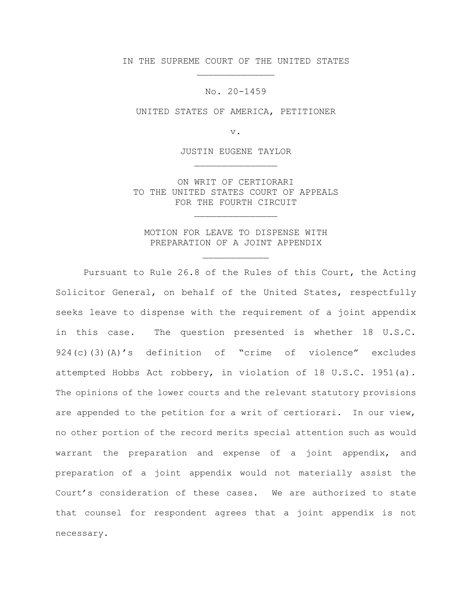IN THE SUPREME COURT OF THE UNITED STATES \_\_\_\_\_\_\_\_\_\_\_\_\_\_

No. 20-1459

UNITED STATES OF AMERICA, PETITIONER

v.

JUSTIN EUGENE TAYLOR \_\_\_\_\_\_\_\_\_\_\_\_\_\_\_

ON WRIT OF CERTIORARI TO THE UNITED STATES COURT OF APPEALS FOR THE FOURTH CIRCUIT

\_\_\_\_\_\_\_\_\_\_\_\_\_\_\_

MOTION FOR LEAVE TO DISPENSE WITH PREPARATION OF A JOINT APPENDIX

\_\_\_\_\_\_\_\_\_\_\_\_

 Pursuant to Rule 26.8 of the Rules of this Court, the Acting Solicitor General, on behalf of the United States, respectfully seeks leave to dispense with the requirement of a joint appendix in this case. The question presented is whether 18 U.S.C. 924(c)(3)(A)'s definition of "crime of violence" excludes attempted Hobbs Act robbery, in violation of 18 U.S.C. 1951(a). The opinions of the lower courts and the relevant statutory provisions are appended to the petition for a writ of certiorari. In our view, no other portion of the record merits special attention such as would warrant the preparation and expense of a joint appendix, and preparation of a joint appendix would not materially assist the Court's consideration of these cases. We are authorized to state that counsel for respondent agrees that a joint appendix is not necessary.